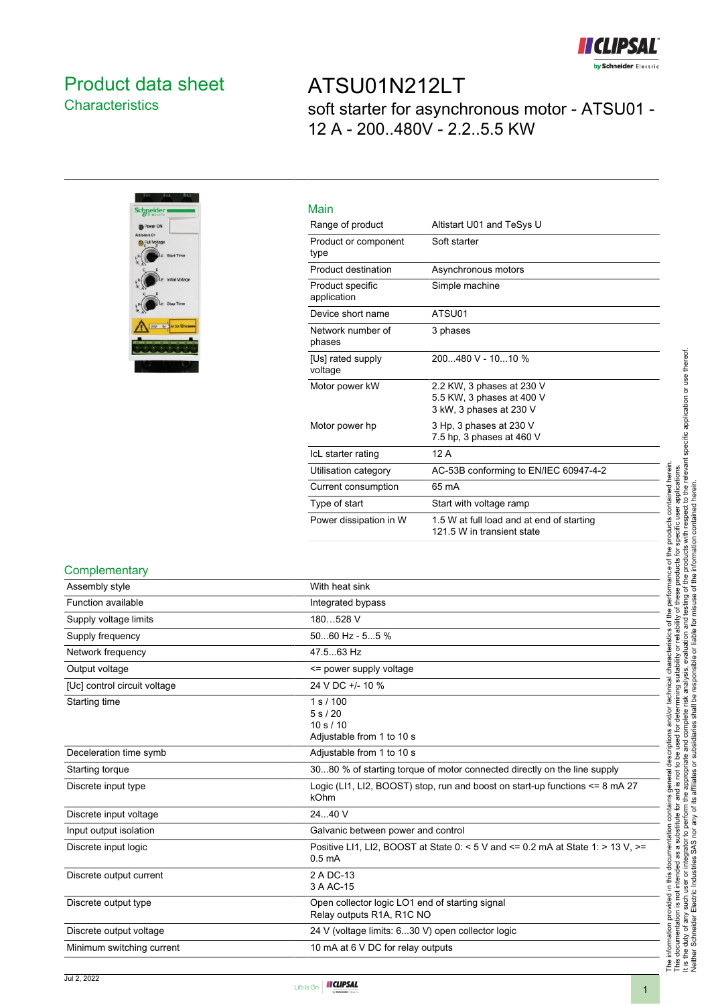

## <span id="page-0-0"></span>Product data sheet **Characteristics**

## ATSU01N212LT soft starter for asynchronous motor - ATSU01 - 12 A - 200..480V - 2.2..5.5 KW



| Main                            |                                                                                   |
|---------------------------------|-----------------------------------------------------------------------------------|
| Range of product                | Altistart U01 and TeSys U                                                         |
| Product or component<br>type    | Soft starter                                                                      |
| Product destination             | Asynchronous motors                                                               |
| Product specific<br>application | Simple machine                                                                    |
| Device short name               | ATSU01                                                                            |
| Network number of<br>phases     | 3 phases                                                                          |
| [Us] rated supply<br>voltage    | 200480 V - 1010 %                                                                 |
| Motor power kW                  | 2.2 KW, 3 phases at 230 V<br>5.5 KW, 3 phases at 400 V<br>3 kW, 3 phases at 230 V |
| Motor power hp                  | 3 Hp, 3 phases at 230 V<br>7.5 hp, 3 phases at 460 V                              |
| IcL starter rating              | 12A                                                                               |
| Utilisation category            | AC-53B conforming to EN/IEC 60947-4-2                                             |
| Current consumption             | 65 mA                                                                             |
| Type of start                   | Start with voltage ramp                                                           |
| Power dissipation in W          | 1.5 W at full load and at end of starting<br>121.5 W in transient state           |

### **Complementary**

| Assembly style               | With heat sink                                                                                        |
|------------------------------|-------------------------------------------------------------------------------------------------------|
| Function available           | Integrated bypass                                                                                     |
| Supply voltage limits        | 180528 V                                                                                              |
| Supply frequency             | $5060$ Hz - $55$ %                                                                                    |
| Network frequency            | 47.5.63 Hz                                                                                            |
| Output voltage               | <= power supply voltage                                                                               |
| [Uc] control circuit voltage | 24 V DC +/- 10 %                                                                                      |
| Starting time                | 1 s / 100<br>5s/20<br>10 s / 10<br>Adjustable from 1 to 10 s                                          |
| Deceleration time symb       | Adjustable from 1 to 10 s                                                                             |
| Starting torque              | 3080 % of starting torque of motor connected directly on the line supply                              |
| Discrete input type          | Logic (LI1, LI2, BOOST) stop, run and boost on start-up functions <= 8 mA 27<br>kOhm                  |
| Discrete input voltage       | 24.40 V                                                                                               |
| Input output isolation       | Galvanic between power and control                                                                    |
| Discrete input logic         | Positive LI1, LI2, BOOST at State 0: < 5 V and <= 0.2 mA at State 1: > 13 V. >=<br>0.5 <sub>m</sub> A |
| Discrete output current      | 2 A DC-13<br>3 A AC-15                                                                                |
| Discrete output type         | Open collector logic LO1 end of starting signal<br>Relay outputs R1A, R1C NO                          |
| Discrete output voltage      | 24 V (voltage limits: 630 V) open collector logic                                                     |
| Minimum switching current    | 10 mA at 6 V DC for relay outputs                                                                     |

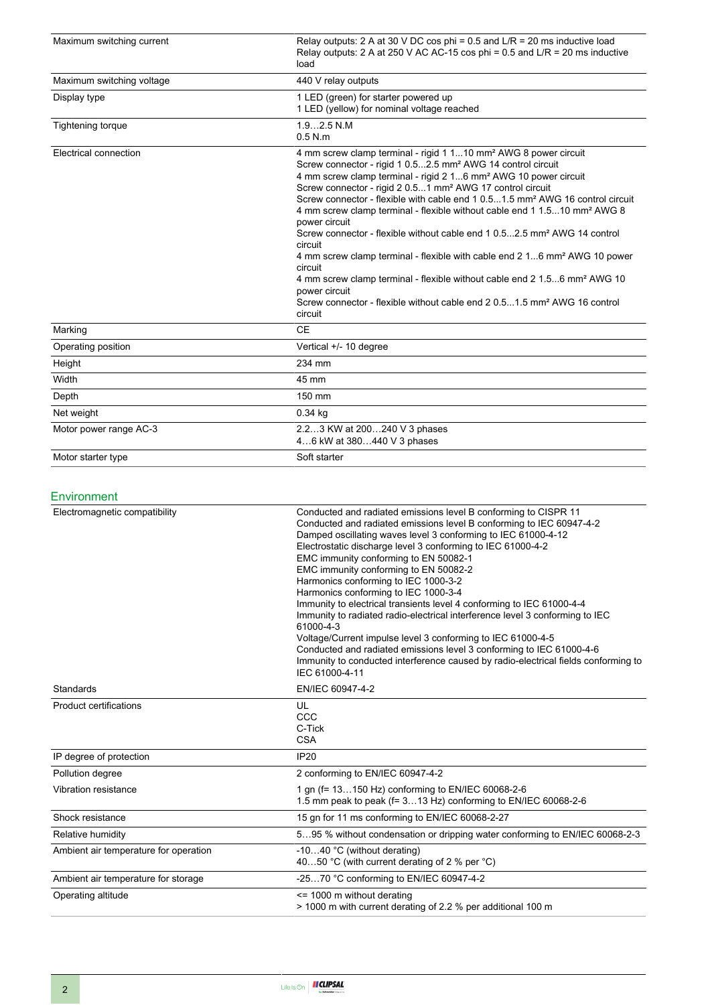| Maximum switching current | Relay outputs: 2 A at 30 V DC cos phi = $0.5$ and L/R = 20 ms inductive load<br>Relay outputs: 2 A at 250 V AC AC-15 cos phi = 0.5 and $L/R = 20$ ms inductive<br>load                                                                                                                                                                                                                                                                                                                                                                                                                                                                                                                                                                                                                                                                                                                                                                  |
|---------------------------|-----------------------------------------------------------------------------------------------------------------------------------------------------------------------------------------------------------------------------------------------------------------------------------------------------------------------------------------------------------------------------------------------------------------------------------------------------------------------------------------------------------------------------------------------------------------------------------------------------------------------------------------------------------------------------------------------------------------------------------------------------------------------------------------------------------------------------------------------------------------------------------------------------------------------------------------|
| Maximum switching voltage | 440 V relay outputs                                                                                                                                                                                                                                                                                                                                                                                                                                                                                                                                                                                                                                                                                                                                                                                                                                                                                                                     |
| Display type              | 1 LED (green) for starter powered up<br>1 LED (yellow) for nominal voltage reached                                                                                                                                                                                                                                                                                                                                                                                                                                                                                                                                                                                                                                                                                                                                                                                                                                                      |
| <b>Tightening torque</b>  | $1.92.5$ N.M<br>$0.5$ N.m                                                                                                                                                                                                                                                                                                                                                                                                                                                                                                                                                                                                                                                                                                                                                                                                                                                                                                               |
| Electrical connection     | 4 mm screw clamp terminal - rigid 1 110 mm <sup>2</sup> AWG 8 power circuit<br>Screw connector - rigid 1 0.52.5 mm <sup>2</sup> AWG 14 control circuit<br>4 mm screw clamp terminal - rigid 2 16 mm <sup>2</sup> AWG 10 power circuit<br>Screw connector - rigid 2 0.51 mm <sup>2</sup> AWG 17 control circuit<br>Screw connector - flexible with cable end 1 0.51.5 mm <sup>2</sup> AWG 16 control circuit<br>4 mm screw clamp terminal - flexible without cable end 1 1.510 mm <sup>2</sup> AWG 8<br>power circuit<br>Screw connector - flexible without cable end 1 0.52.5 mm <sup>2</sup> AWG 14 control<br>circuit<br>4 mm screw clamp terminal - flexible with cable end 2 16 mm <sup>2</sup> AWG 10 power<br>circuit<br>4 mm screw clamp terminal - flexible without cable end 2 1.56 mm <sup>2</sup> AWG 10<br>power circuit<br>Screw connector - flexible without cable end 2 0.51.5 mm <sup>2</sup> AWG 16 control<br>circuit |
| Marking                   | <b>CE</b>                                                                                                                                                                                                                                                                                                                                                                                                                                                                                                                                                                                                                                                                                                                                                                                                                                                                                                                               |
| Operating position        | Vertical +/- 10 degree                                                                                                                                                                                                                                                                                                                                                                                                                                                                                                                                                                                                                                                                                                                                                                                                                                                                                                                  |
| Height                    | 234 mm                                                                                                                                                                                                                                                                                                                                                                                                                                                                                                                                                                                                                                                                                                                                                                                                                                                                                                                                  |
| Width                     | 45 mm                                                                                                                                                                                                                                                                                                                                                                                                                                                                                                                                                                                                                                                                                                                                                                                                                                                                                                                                   |
| Depth                     | 150 mm                                                                                                                                                                                                                                                                                                                                                                                                                                                                                                                                                                                                                                                                                                                                                                                                                                                                                                                                  |
| Net weight                | $0.34$ kg                                                                                                                                                                                                                                                                                                                                                                                                                                                                                                                                                                                                                                                                                                                                                                                                                                                                                                                               |
| Motor power range AC-3    | 2.23 KW at 200240 V 3 phases<br>46 kW at 380440 V 3 phases                                                                                                                                                                                                                                                                                                                                                                                                                                                                                                                                                                                                                                                                                                                                                                                                                                                                              |
| Motor starter type        | Soft starter                                                                                                                                                                                                                                                                                                                                                                                                                                                                                                                                                                                                                                                                                                                                                                                                                                                                                                                            |

### Environment

| Electromagnetic compatibility         | Conducted and radiated emissions level B conforming to CISPR 11<br>Conducted and radiated emissions level B conforming to IEC 60947-4-2<br>Damped oscillating waves level 3 conforming to IEC 61000-4-12<br>Electrostatic discharge level 3 conforming to IEC 61000-4-2<br>EMC immunity conforming to EN 50082-1<br>EMC immunity conforming to EN 50082-2<br>Harmonics conforming to IEC 1000-3-2<br>Harmonics conforming to IEC 1000-3-4<br>Immunity to electrical transients level 4 conforming to IEC 61000-4-4<br>Immunity to radiated radio-electrical interference level 3 conforming to IEC<br>61000-4-3<br>Voltage/Current impulse level 3 conforming to IEC 61000-4-5<br>Conducted and radiated emissions level 3 conforming to IEC 61000-4-6<br>Immunity to conducted interference caused by radio-electrical fields conforming to<br>IEC 61000-4-11 |
|---------------------------------------|----------------------------------------------------------------------------------------------------------------------------------------------------------------------------------------------------------------------------------------------------------------------------------------------------------------------------------------------------------------------------------------------------------------------------------------------------------------------------------------------------------------------------------------------------------------------------------------------------------------------------------------------------------------------------------------------------------------------------------------------------------------------------------------------------------------------------------------------------------------|
| Standards                             | EN/IEC 60947-4-2                                                                                                                                                                                                                                                                                                                                                                                                                                                                                                                                                                                                                                                                                                                                                                                                                                               |
| <b>Product certifications</b>         | UL<br>CCC<br>C-Tick<br><b>CSA</b>                                                                                                                                                                                                                                                                                                                                                                                                                                                                                                                                                                                                                                                                                                                                                                                                                              |
| IP degree of protection               | <b>IP20</b>                                                                                                                                                                                                                                                                                                                                                                                                                                                                                                                                                                                                                                                                                                                                                                                                                                                    |
| Pollution degree                      | 2 conforming to EN/IEC 60947-4-2                                                                                                                                                                                                                                                                                                                                                                                                                                                                                                                                                                                                                                                                                                                                                                                                                               |
| Vibration resistance                  | 1 gn (f= 13150 Hz) conforming to EN/IEC 60068-2-6<br>1.5 mm peak to peak (f= 313 Hz) conforming to EN/IEC 60068-2-6                                                                                                                                                                                                                                                                                                                                                                                                                                                                                                                                                                                                                                                                                                                                            |
| Shock resistance                      | 15 gn for 11 ms conforming to EN/IEC 60068-2-27                                                                                                                                                                                                                                                                                                                                                                                                                                                                                                                                                                                                                                                                                                                                                                                                                |
| Relative humidity                     | 595 % without condensation or dripping water conforming to EN/IEC 60068-2-3                                                                                                                                                                                                                                                                                                                                                                                                                                                                                                                                                                                                                                                                                                                                                                                    |
| Ambient air temperature for operation | -1040 °C (without derating)<br>4050 °C (with current derating of 2 % per °C)                                                                                                                                                                                                                                                                                                                                                                                                                                                                                                                                                                                                                                                                                                                                                                                   |
| Ambient air temperature for storage   | -2570 °C conforming to EN/IEC 60947-4-2                                                                                                                                                                                                                                                                                                                                                                                                                                                                                                                                                                                                                                                                                                                                                                                                                        |
| Operating altitude                    | <= 1000 m without derating<br>> 1000 m with current derating of 2.2 % per additional 100 m                                                                                                                                                                                                                                                                                                                                                                                                                                                                                                                                                                                                                                                                                                                                                                     |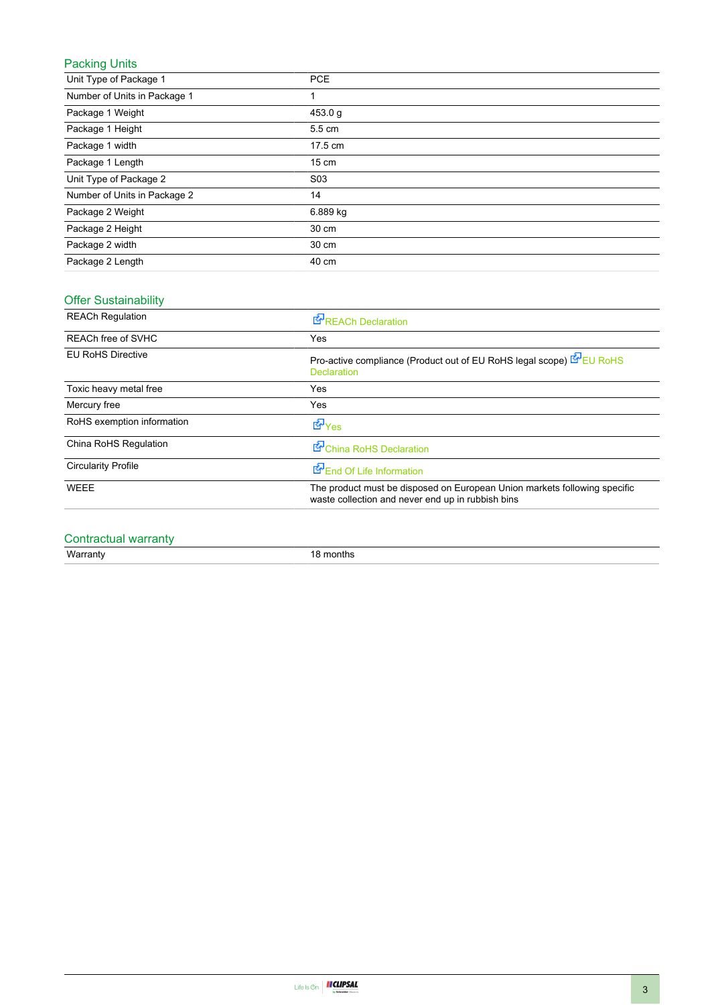### Packing Units

| Unit Type of Package 1       | <b>PCE</b>       |
|------------------------------|------------------|
| Number of Units in Package 1 |                  |
| Package 1 Weight             | 453.0 g          |
| Package 1 Height             | 5.5 cm           |
| Package 1 width              | 17.5 cm          |
| Package 1 Length             | $15 \text{ cm}$  |
| Unit Type of Package 2       | S <sub>0</sub> 3 |
| Number of Units in Package 2 | 14               |
| Package 2 Weight             | 6.889 kg         |
| Package 2 Height             | 30 cm            |
| Package 2 width              | 30 cm            |
| Package 2 Length             | 40 cm            |

### Offer Sustainability

| <b>REACh Regulation</b>    | REACh Declaration                                                                                                              |
|----------------------------|--------------------------------------------------------------------------------------------------------------------------------|
| REACh free of SVHC         | <b>Yes</b>                                                                                                                     |
| <b>EU RoHS Directive</b>   | Pro-active compliance (Product out of EU RoHS legal scope) EP EU RoHS<br><b>Declaration</b>                                    |
| Toxic heavy metal free     | Yes                                                                                                                            |
| Mercury free               | Yes                                                                                                                            |
| RoHS exemption information | $\mathbf{F}_{\text{Yes}}$                                                                                                      |
| China RoHS Regulation      | China RoHS Declaration                                                                                                         |
| <b>Circularity Profile</b> | End Of Life Information                                                                                                        |
| <b>WEEE</b>                | The product must be disposed on European Union markets following specific<br>waste collection and never end up in rubbish bins |

## Contractual warranty

Warranty 18 months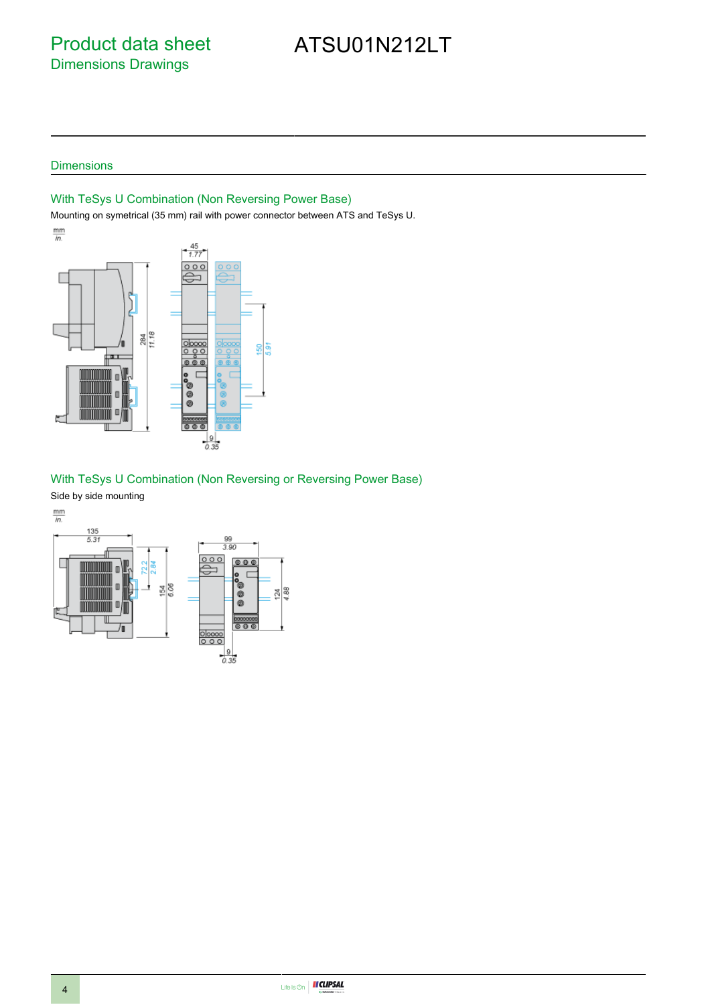Product data sheet Dimensions Drawings

# ATSU01N212LT

### **Dimensions**

### With TeSys U Combination (Non Reversing Power Base)

Mounting on symetrical (35 mm) rail with power connector between ATS and TeSys U.



### With TeSys U Combination (Non Reversing or Reversing Power Base)

Side by side mounting

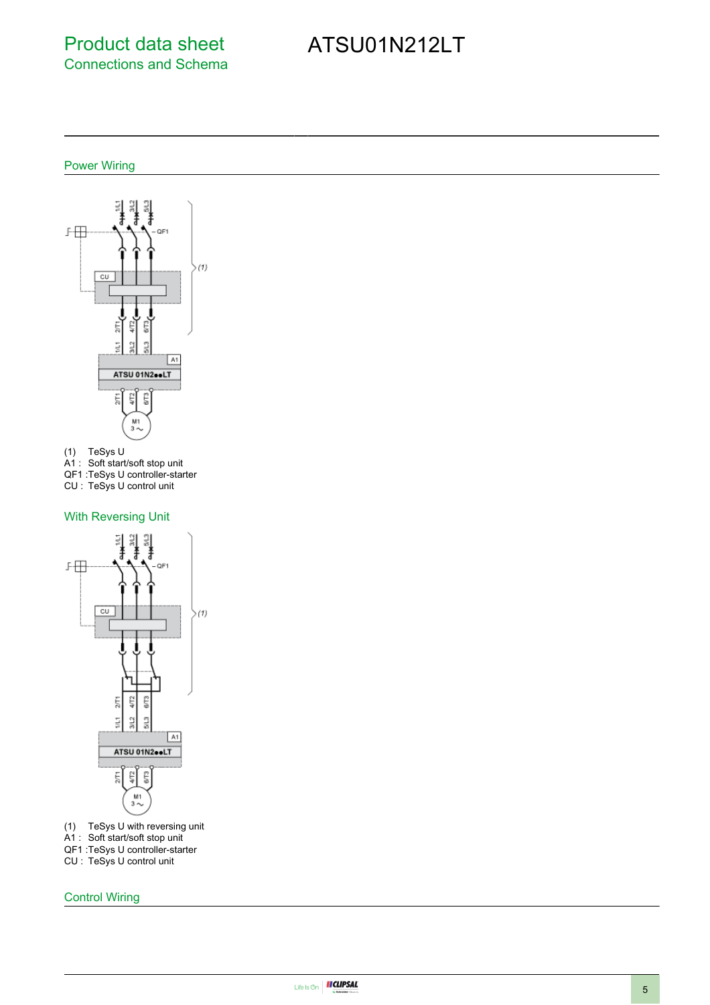## Product data sheet Connections and Schema

# ATSU01N212LT

### Power Wiring





- A1 : Soft start/soft stop unit
- QF1 :TeSys U controller-starter

CU : TeSys U control unit

### With Reversing Unit



- (1) TeSys U with reversing unit
- A1 : Soft start/soft stop unit
- QF1 :TeSys U controller-starter
- CU : TeSys U control unit

Control Wiring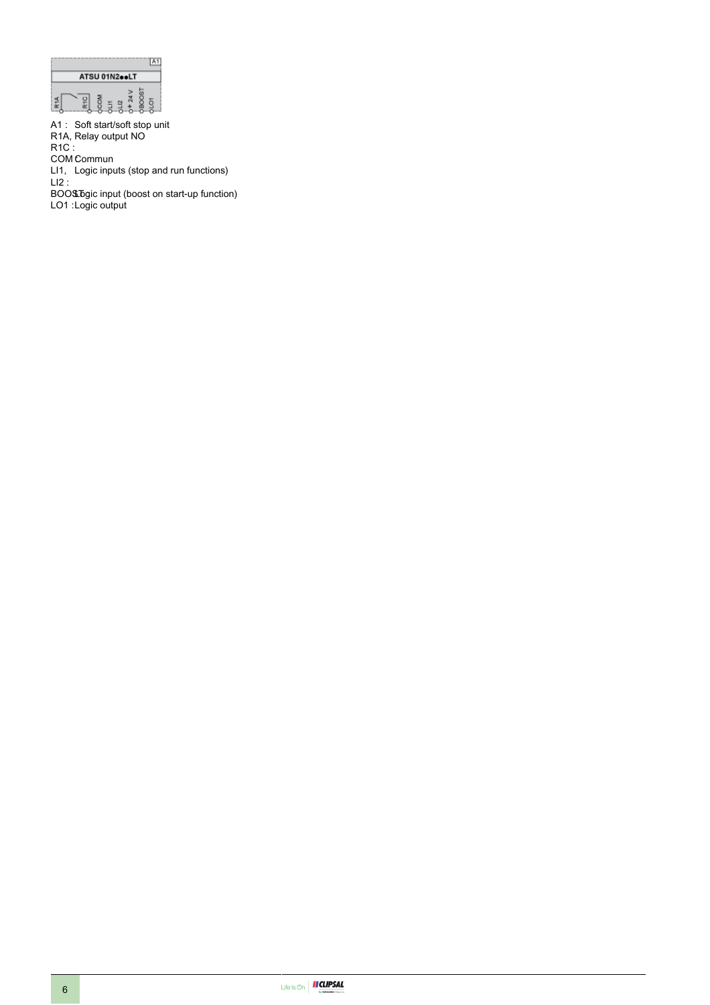

A1 : Soft start/soft stop unit R1A, Relay output NO

R1C :

COM Commun

LI1, Logic inputs (stop and run functions)

LI2 :

BOO\$D̄gic input (boost on start-up function) LO1 :Logic output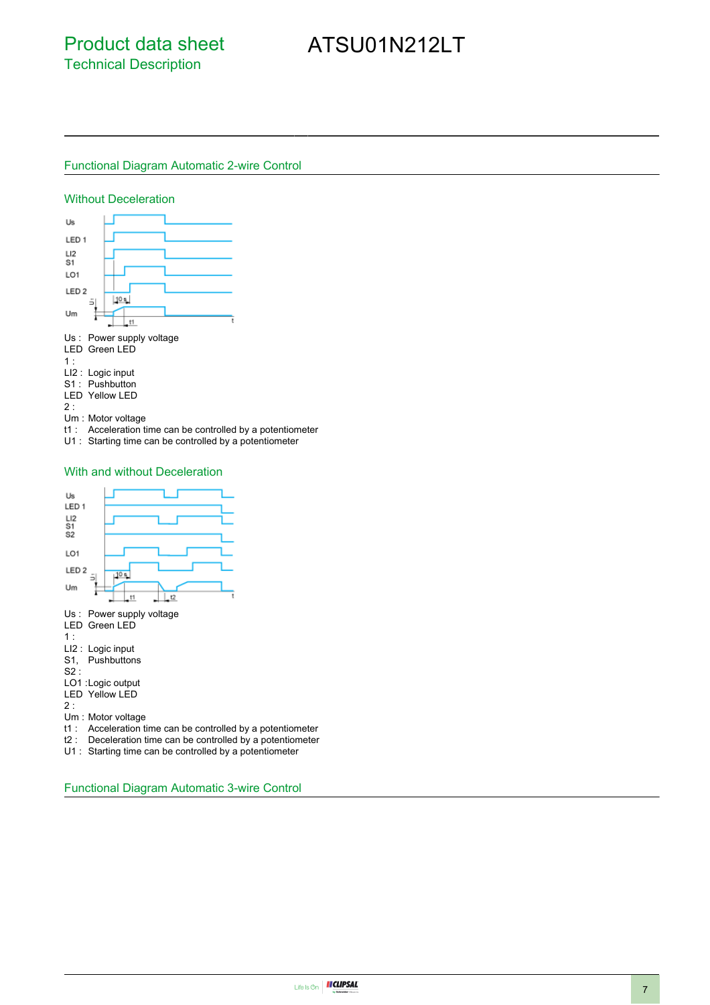# ATSU01N212LT

### Functional Diagram Automatic 2-wire Control

#### Without Deceleration



Um : Motor voltage

t1 : Acceleration time can be controlled by a potentiometer

U1 : Starting time can be controlled by a potentiometer

#### With and without Deceleration



U1 : Starting time can be controlled by a potentiometer

Functional Diagram Automatic 3-wire Control